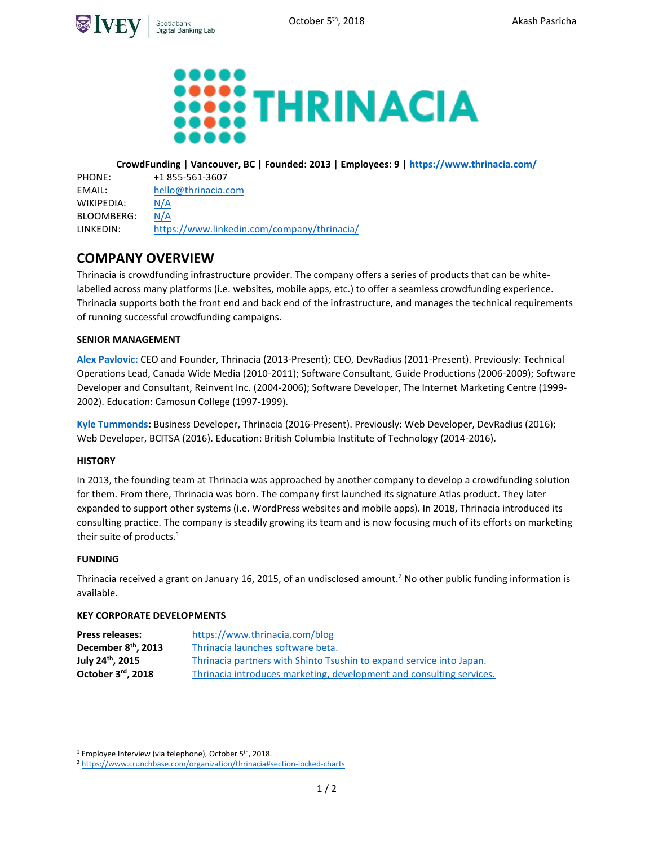



# **CrowdFunding | Vancouver, BC | Founded: 2013 | Employees: 9 [| https://www.thrinacia.com/](https://www.thrinacia.com/)**

| PHONE:     | +1 855-561-3607                             |
|------------|---------------------------------------------|
| EMAIL:     | hello@thrinacia.com                         |
| WIKIPEDIA: | N/A                                         |
| BLOOMBERG: | N/A                                         |
| LINKEDIN:  | https://www.linkedin.com/company/thrinacia/ |

# **COMPANY OVERVIEW**

Thrinacia is crowdfunding infrastructure provider. The company offers a series of products that can be whitelabelled across many platforms (i.e. websites, mobile apps, etc.) to offer a seamless crowdfunding experience. Thrinacia supports both the front end and back end of the infrastructure, and manages the technical requirements of running successful crowdfunding campaigns.

# **SENIOR MANAGEMENT**

**[Alex Pavlovic:](https://www.linkedin.com/in/alexpavlovic/)** CEO and Founder, Thrinacia (2013-Present); CEO, DevRadius (2011-Present). Previously: Technical Operations Lead, Canada Wide Media (2010-2011); Software Consultant, Guide Productions (2006-2009); Software Developer and Consultant, Reinvent Inc. (2004-2006); Software Developer, The Internet Marketing Centre (1999- 2002). Education: Camosun College (1997-1999).

**[Kyle Tummonds:](https://www.linkedin.com/in/kyle-tummonds-1b85a6ba/)** Business Developer, Thrinacia (2016-Present). Previously: Web Developer, DevRadius (2016); Web Developer, BCITSA (2016). Education: British Columbia Institute of Technology (2014-2016).

## **HISTORY**

In 2013, the founding team at Thrinacia was approached by another company to develop a crowdfunding solution for them. From there, Thrinacia was born. The company first launched its signature Atlas product. They later expanded to support other systems (i.e. WordPress websites and mobile apps). In 2018, Thrinacia introduced its consulting practice. The company is steadily growing its team and is now focusing much of its efforts on marketing their suite of products.<sup>1</sup>

## **FUNDING**

 $\overline{a}$ 

Thrinacia received a grant on January 16, 2015, of an undisclosed amount.<sup>2</sup> No other public funding information is available.

## **KEY CORPORATE DEVELOPMENTS**

| <b>Press releases:</b>          | https://www.thrinacia.com/blog                                       |
|---------------------------------|----------------------------------------------------------------------|
| December 8 <sup>th</sup> , 2013 | Thrinacia launches software beta.                                    |
| July 24 <sup>th</sup> , 2015    | Thrinacia partners with Shinto Tsushin to expand service into Japan. |
| October 3rd, 2018               | Thrinacia introduces marketing, development and consulting services. |

<sup>&</sup>lt;sup>1</sup> Employee Interview (via telephone), October 5<sup>th</sup>, 2018.

<sup>2</sup> <https://www.crunchbase.com/organization/thrinacia#section-locked-charts>